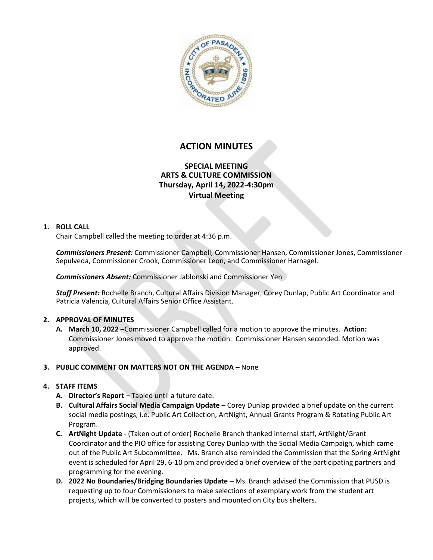

# **ACTION MINUTES**

# **SPECIAL MEETING ARTS & CULTURE COMMISSION Thursday, April 14, 2022-4:30pm Virtual Meeting**

#### **1. ROLL CALL**

Chair Campbell called the meeting to order at 4:36 p.m.

*Commissioners Present:* Commissioner Campbell, Commissioner Hansen, Commissioner Jones, Commissioner Sepulveda, Commissioner Crook, Commissioner Leon, and Commissioner Harnagel.

*Commissioners Absent:* Commissioner Jablonski and Commissioner Yen

*Staff Present:* Rochelle Branch, Cultural Affairs Division Manager, Corey Dunlap, Public Art Coordinator and Patricia Valencia, Cultural Affairs Senior Office Assistant.

### **2. APPROVAL OF MINUTES**

**A. March 10, 2022 –**Commissioner Campbell called for a motion to approve the minutes. **Action:**  Commissioner Jones moved to approve the motion. Commissioner Hansen seconded. Motion was approved.

### **3. PUBLIC COMMENT ON MATTERS NOT ON THE AGENDA –** None

### **4. STAFF ITEMS**

- **A. Director's Report** Tabled until a future date.
- **B. Cultural Affairs Social Media Campaign Update**  Corey Dunlap provided a brief update on the current social media postings, i.e. Public Art Collection, ArtNight, Annual Grants Program & Rotating Public Art Program.
- **C. ArtNight Update** (Taken out of order) Rochelle Branch thanked internal staff, ArtNight/Grant Coordinator and the PIO office for assisting Corey Dunlap with the Social Media Campaign, which came out of the Public Art Subcommittee. Ms. Branch also reminded the Commission that the Spring ArtNight event is scheduled for April 29, 6-10 pm and provided a brief overview of the participating partners and programming for the evening.
- **D. 2022 No Boundaries/Bridging Boundaries Update** Ms. Branch advised the Commission that PUSD is requesting up to four Commissioners to make selections of exemplary work from the student art projects, which will be converted to posters and mounted on City bus shelters.